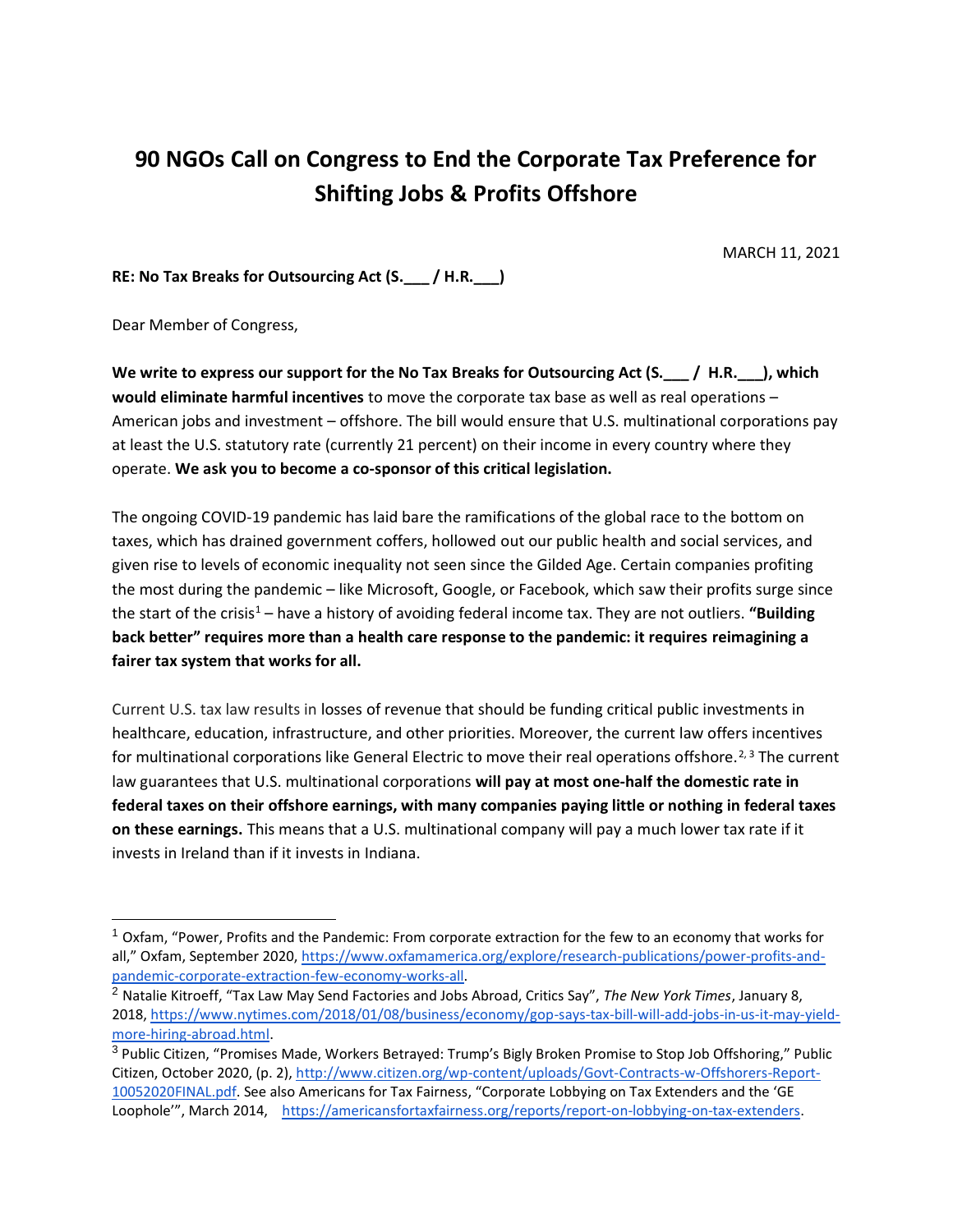## **90 NGOs Call on Congress to End the Corporate Tax Preference for Shifting Jobs & Profits Offshore**

MARCH 11, 2021

**RE: No Tax Breaks for Outsourcing Act (S.\_\_\_ / H.R.\_\_\_)**

Dear Member of Congress,

We write to express our support for the No Tax Breaks for Outsourcing Act (S.  $\Box$  / H.R. ), which **would eliminate harmful incentives** to move the corporate tax base as well as real operations – American jobs and investment – offshore. The bill would ensure that U.S. multinational corporations pay at least the U.S. statutory rate (currently 21 percent) on their income in every country where they operate. **We ask you to become a co-sponsor of this critical legislation.**

The ongoing COVID-19 pandemic has laid bare the ramifications of the global race to the bottom on taxes, which has drained government coffers, hollowed out our public health and social services, and given rise to levels of economic inequality not seen since the Gilded Age. Certain companies profiting the most during the pandemic – like Microsoft, Google, or Facebook, which saw their profits surge since the start of the crisis<sup>1</sup> – have a history of avoiding federal income tax. They are not outliers. "Building **back better" requires more than a health care response to the pandemic: it requires reimagining a fairer tax system that works for all.**

Current U.S. tax law results in losses of revenue that should be funding critical public investments in healthcare, education, infrastructure, and other priorities. Moreover, the current law offers incentives for multinational corporations like General Electric to move their real operations offshore.<sup>2, 3</sup> The current law guarantees that U.S. multinational corporations **will pay at most one-half the domestic rate in federal taxes on their offshore earnings, with many companies paying little or nothing in federal taxes on these earnings.** This means that a U.S. multinational company will pay a much lower tax rate if it invests in Ireland than if it invests in Indiana.

 $1$  Oxfam, "Power, Profits and the Pandemic: From corporate extraction for the few to an economy that works for all," Oxfam, September 202[0,](https://www.oxfamamerica.org/explore/research-publications/power-profits-and-pandemic-corporate-extraction-few-economy-works-all/) [https://www.oxfamamerica.org/explore/research-publications/power-profits-and](https://www.oxfamamerica.org/explore/research-publications/power-profits-and-pandemic-corporate-extraction-few-economy-works-all)[pandemic-corporate-extraction-few-economy-works-all.](https://www.oxfamamerica.org/explore/research-publications/power-profits-and-pandemic-corporate-extraction-few-economy-works-all)

<sup>2</sup> Natalie Kitroeff, "Tax Law May Send Factories and Jobs Abroad, Critics Say", *The New York Times*, January 8, 2018, [https://www.nytimes.com/2018/01/08/business/economy/gop-says-tax-bill-will-add-jobs-in-us-it-may-yield](https://www.nytimes.com/2018/01/08/business/economy/gop-says-tax-bill-will-add-jobs-in-us-it-may-yield-more-hiring-abroad.html)[more-hiring-abroad.html.](https://www.nytimes.com/2018/01/08/business/economy/gop-says-tax-bill-will-add-jobs-in-us-it-may-yield-more-hiring-abroad.html)

<sup>&</sup>lt;sup>3</sup> Public Citizen, "Promises Made, Workers Betrayed: Trump's Bigly Broken Promise to Stop Job Offshoring," Public Citizen, October 2020, (p. 2)[, http://www.citizen.org/wp-content/uploads/Govt-Contracts-w-Offshorers-Report-](http://www.citizen.org/wp-content/uploads/Govt-Contracts-w-Offshorers-Report-10052020FINAL.pdf)[10052020FINAL.pdf](http://www.citizen.org/wp-content/uploads/Govt-Contracts-w-Offshorers-Report-10052020FINAL.pdf). See also Americans for Tax Fairness, "Corporate Lobbying on Tax Extenders and the 'GE Loophole"", March 2014, https://americansfortaxfairness.org/reports/report-on-lobbying-on-tax-extenders.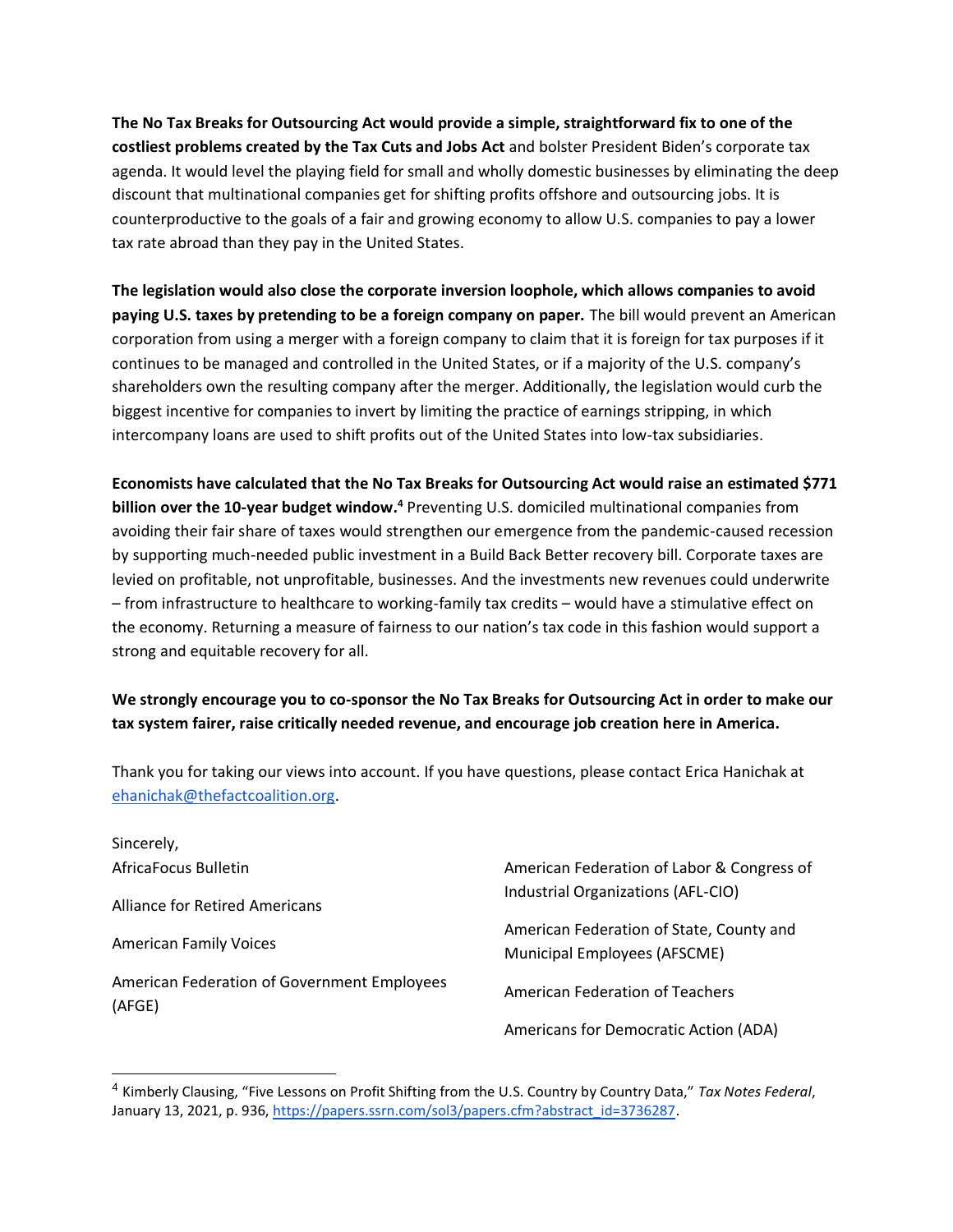**The No Tax Breaks for Outsourcing Act would provide a simple, straightforward fix to one of the costliest problems created by the Tax Cuts and Jobs Act** and bolster President Biden's corporate tax agenda. It would level the playing field for small and wholly domestic businesses by eliminating the deep discount that multinational companies get for shifting profits offshore and outsourcing jobs. It is counterproductive to the goals of a fair and growing economy to allow U.S. companies to pay a lower tax rate abroad than they pay in the United States.

**The legislation would also close the corporate inversion loophole, which allows companies to avoid paying U.S. taxes by pretending to be a foreign company on paper.** The bill would prevent an American corporation from using a merger with a foreign company to claim that it is foreign for tax purposes if it continues to be managed and controlled in the United States, or if a majority of the U.S. company's shareholders own the resulting company after the merger. Additionally, the legislation would curb the biggest incentive for companies to invert by limiting the practice of earnings stripping, in which intercompany loans are used to shift profits out of the United States into low-tax subsidiaries.

**Economists have calculated that the No Tax Breaks for Outsourcing Act would raise an estimated \$771 billion over the 10-year budget window.<sup>4</sup>** Preventing U.S. domiciled multinational companies from avoiding their fair share of taxes would strengthen our emergence from the pandemic-caused recession by supporting much-needed public investment in a Build Back Better recovery bill. Corporate taxes are levied on profitable, not unprofitable, businesses. And the investments new revenues could underwrite – from infrastructure to healthcare to working-family tax credits – would have a stimulative effect on the economy. Returning a measure of fairness to our nation's tax code in this fashion would support a strong and equitable recovery for all.

## **We strongly encourage you to co-sponsor the No Tax Breaks for Outsourcing Act in order to make our tax system fairer, raise critically needed revenue, and encourage job creation here in America.**

Thank you for taking our views into account. If you have questions, please contact Erica Hanichak at [ehanichak@thefactcoalition.org.](mailto:ehanichak@thefactcoalition.org)

| Sincerely,                                            |                                                                                  |
|-------------------------------------------------------|----------------------------------------------------------------------------------|
| AfricaFocus Bulletin                                  | American Federation of Labor & Congress of<br>Industrial Organizations (AFL-CIO) |
| <b>Alliance for Retired Americans</b>                 |                                                                                  |
| <b>American Family Voices</b>                         | American Federation of State, County and<br>Municipal Employees (AFSCME)         |
| American Federation of Government Employees<br>(AFGE) | American Federation of Teachers                                                  |
|                                                       | Americans for Democratic Action (ADA)                                            |

<sup>4</sup> Kimberly Clausing, "Five Lessons on Profit Shifting from the U.S. Country by Country Data," *Tax Notes Federal*, January 13, 2021, p. 936[, https://papers.ssrn.com/sol3/papers.cfm?abstract\\_id=3736287](https://papers.ssrn.com/sol3/papers.cfm?abstract_id=3736287/).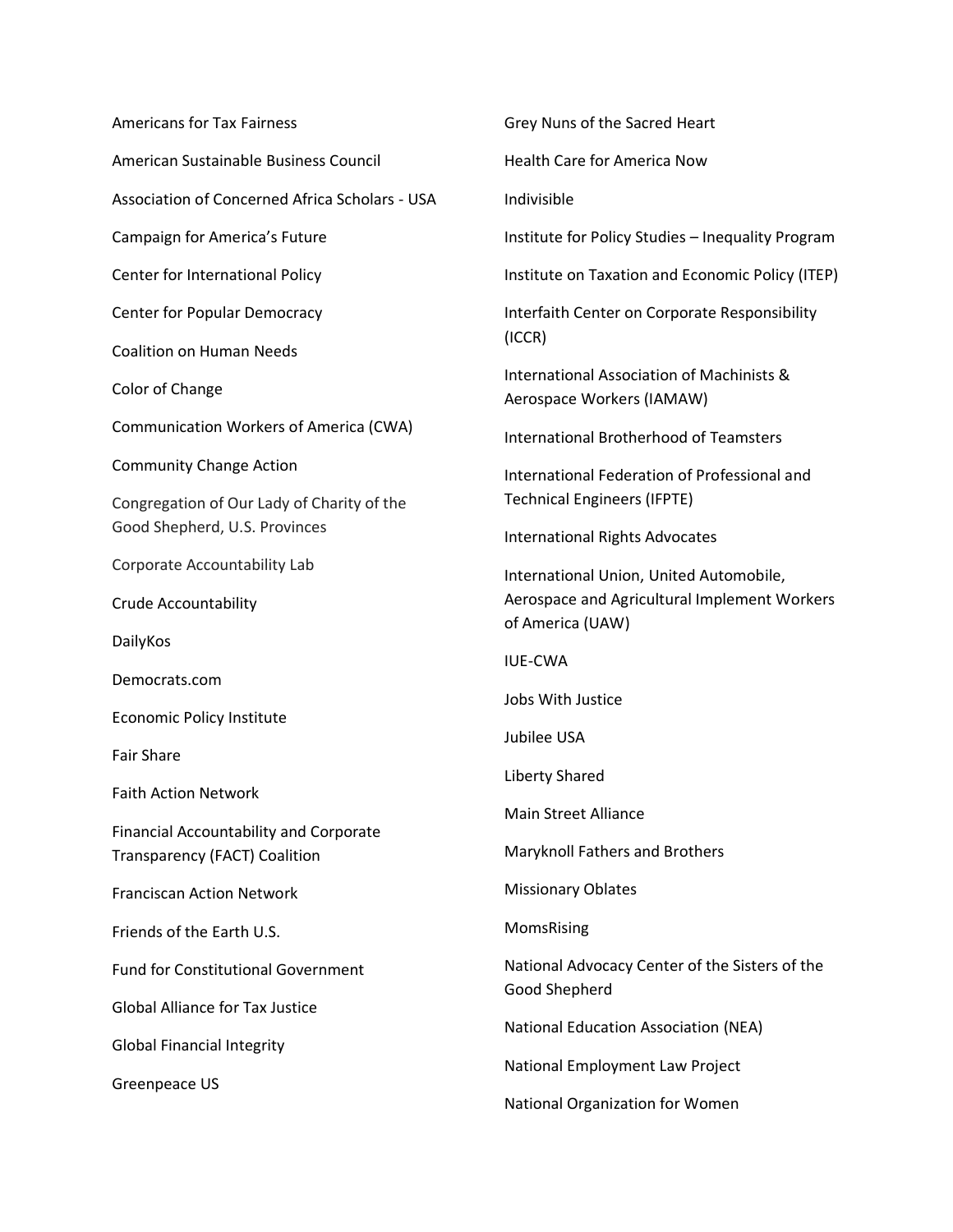Americans for Tax Fairness American Sustainable Business Council Association of Concerned Africa Scholars - USA Campaign for America's Future Center for International Policy Center for Popular Democracy Coalition on Human Needs Color of Change Communication Workers of America (CWA) Community Change Action Congregation of Our Lady of Charity of the Good Shepherd, U.S. Provinces Corporate Accountability Lab Crude Accountability DailyKos Democrats.com Economic Policy Institute Fair Share Faith Action Network Financial Accountability and Corporate Transparency (FACT) Coalition Franciscan Action Network Friends of the Earth U.S. Fund for Constitutional Government Global Alliance for Tax Justice Global Financial Integrity Greenpeace US

Health Care for America Now Indivisible Institute for Policy Studies – Inequality Program Institute on Taxation and Economic Policy (ITEP) Interfaith Center on Corporate Responsibility (ICCR) International Association of Machinists & Aerospace Workers (IAMAW) International Brotherhood of Teamsters International Federation of Professional and Technical Engineers (IFPTE) International Rights Advocates International Union, United Automobile, Aerospace and Agricultural Implement Workers of America (UAW) IUE-CWA Jobs With Justice Jubilee USA Liberty Shared Main Street Alliance Maryknoll Fathers and Brothers Missionary Oblates MomsRising National Advocacy Center of the Sisters of the Good Shepherd National Education Association (NEA) National Employment Law Project

Grey Nuns of the Sacred Heart

National Organization for Women